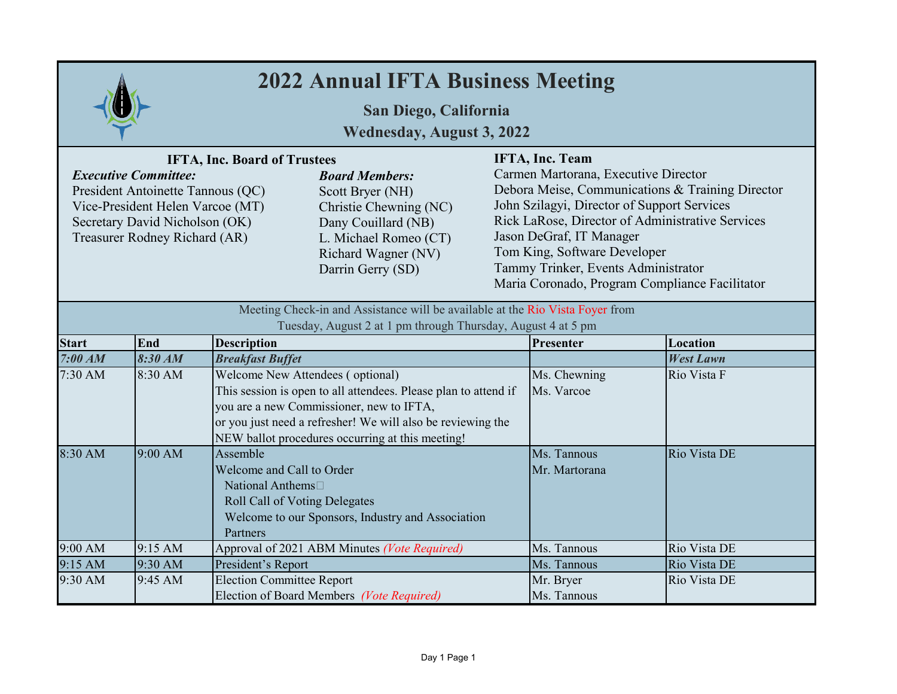| <b>2022 Annual IFTA Business Meeting</b>                                                                                                                                                                       |         |                                                                                                                     |                                                                                                                                                                                                                                |                                                                                                                                                                                                                                                                                                                                                                     |                              |                  |
|----------------------------------------------------------------------------------------------------------------------------------------------------------------------------------------------------------------|---------|---------------------------------------------------------------------------------------------------------------------|--------------------------------------------------------------------------------------------------------------------------------------------------------------------------------------------------------------------------------|---------------------------------------------------------------------------------------------------------------------------------------------------------------------------------------------------------------------------------------------------------------------------------------------------------------------------------------------------------------------|------------------------------|------------------|
| San Diego, California<br><b>Wednesday, August 3, 2022</b>                                                                                                                                                      |         |                                                                                                                     |                                                                                                                                                                                                                                |                                                                                                                                                                                                                                                                                                                                                                     |                              |                  |
| <b>IFTA, Inc. Board of Trustees</b><br><b>Executive Committee:</b><br>President Antoinette Tannous (QC)<br>Vice-President Helen Varcoe (MT)<br>Secretary David Nicholson (OK)<br>Treasurer Rodney Richard (AR) |         |                                                                                                                     | <b>Board Members:</b><br>Scott Bryer (NH)<br>Christie Chewning (NC)<br>Dany Couillard (NB)<br>L. Michael Romeo (CT)<br>Richard Wagner (NV)<br>Darrin Gerry (SD)                                                                | IFTA, Inc. Team<br>Carmen Martorana, Executive Director<br>Debora Meise, Communications & Training Director<br>John Szilagyi, Director of Support Services<br>Rick LaRose, Director of Administrative Services<br>Jason DeGraf, IT Manager<br>Tom King, Software Developer<br>Tammy Trinker, Events Administrator<br>Maria Coronado, Program Compliance Facilitator |                              |                  |
| Meeting Check-in and Assistance will be available at the Rio Vista Foyer from<br>Tuesday, August 2 at 1 pm through Thursday, August 4 at 5 pm                                                                  |         |                                                                                                                     |                                                                                                                                                                                                                                |                                                                                                                                                                                                                                                                                                                                                                     |                              |                  |
| <b>Start</b>                                                                                                                                                                                                   | End     | <b>Description</b>                                                                                                  |                                                                                                                                                                                                                                |                                                                                                                                                                                                                                                                                                                                                                     | Presenter                    | Location         |
| 7:00 AM                                                                                                                                                                                                        | 8:30 AM | <b>Breakfast Buffet</b>                                                                                             |                                                                                                                                                                                                                                |                                                                                                                                                                                                                                                                                                                                                                     |                              | <b>West Lawn</b> |
| 7:30 AM                                                                                                                                                                                                        | 8:30 AM | Welcome New Attendees (optional)                                                                                    | This session is open to all attendees. Please plan to attend if<br>you are a new Commissioner, new to IFTA,<br>or you just need a refresher! We will also be reviewing the<br>NEW ballot procedures occurring at this meeting! |                                                                                                                                                                                                                                                                                                                                                                     | Ms. Chewning<br>Ms. Varcoe   | Rio Vista F      |
| 8:30 AM                                                                                                                                                                                                        | 9:00 AM | Assemble<br>Welcome and Call to Order<br>National Anthems <sup>1</sup><br>Roll Call of Voting Delegates<br>Partners | Welcome to our Sponsors, Industry and Association                                                                                                                                                                              |                                                                                                                                                                                                                                                                                                                                                                     | Ms. Tannous<br>Mr. Martorana | Rio Vista DE     |
| 9:00 AM                                                                                                                                                                                                        | 9:15 AM |                                                                                                                     | Approval of 2021 ABM Minutes (Vote Required)                                                                                                                                                                                   |                                                                                                                                                                                                                                                                                                                                                                     | Ms. Tannous                  | Rio Vista DE     |
| 9:15 AM                                                                                                                                                                                                        | 9:30 AM | President's Report                                                                                                  |                                                                                                                                                                                                                                |                                                                                                                                                                                                                                                                                                                                                                     | Ms. Tannous                  | Rio Vista DE     |
| 9:30 AM                                                                                                                                                                                                        | 9:45 AM | <b>Election Committee Report</b>                                                                                    | Election of Board Members (Vote Required)                                                                                                                                                                                      |                                                                                                                                                                                                                                                                                                                                                                     | Mr. Bryer<br>Ms. Tannous     | Rio Vista DE     |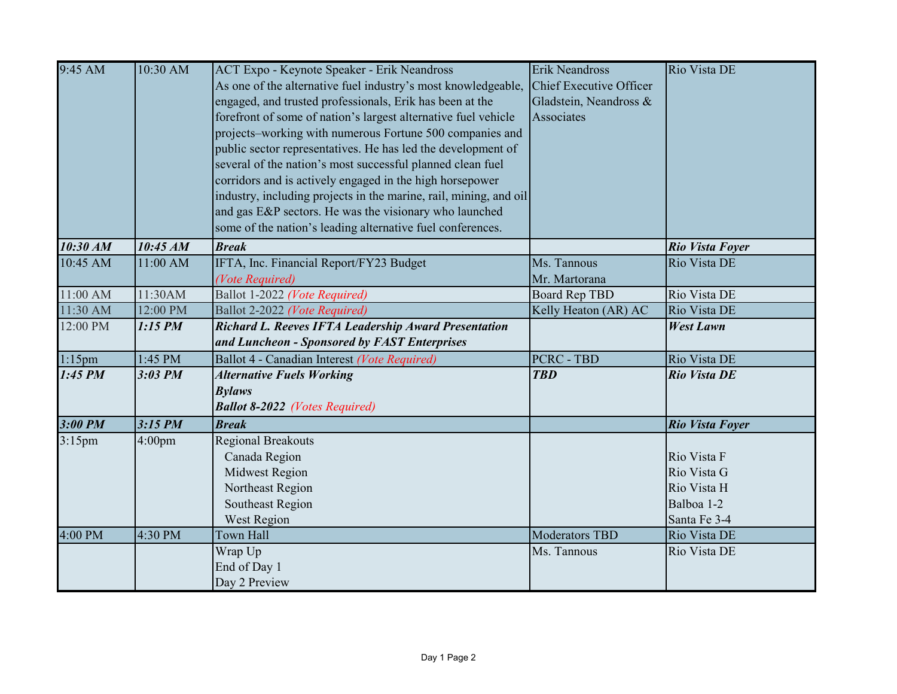| 9:45 AM              | 10:30 AM                                                          | ACT Expo - Keynote Speaker - Erik Neandross                    | <b>Erik Neandross</b>   | Rio Vista DE           |
|----------------------|-------------------------------------------------------------------|----------------------------------------------------------------|-------------------------|------------------------|
|                      |                                                                   | As one of the alternative fuel industry's most knowledgeable,  | Chief Executive Officer |                        |
|                      |                                                                   | engaged, and trusted professionals, Erik has been at the       | Gladstein, Neandross &  |                        |
|                      |                                                                   | forefront of some of nation's largest alternative fuel vehicle | Associates              |                        |
|                      |                                                                   | projects-working with numerous Fortune 500 companies and       |                         |                        |
|                      |                                                                   | public sector representatives. He has led the development of   |                         |                        |
|                      |                                                                   | several of the nation's most successful planned clean fuel     |                         |                        |
|                      |                                                                   | corridors and is actively engaged in the high horsepower       |                         |                        |
|                      | industry, including projects in the marine, rail, mining, and oil |                                                                |                         |                        |
|                      | and gas E&P sectors. He was the visionary who launched            |                                                                |                         |                        |
|                      |                                                                   | some of the nation's leading alternative fuel conferences.     |                         |                        |
| 10:30 AM             | 10:45 AM                                                          | <b>Break</b>                                                   |                         | <b>Rio Vista Foyer</b> |
| 10:45 AM             | 11:00 AM                                                          | IFTA, Inc. Financial Report/FY23 Budget                        | Ms. Tannous             | Rio Vista DE           |
|                      |                                                                   | (Vote Required)                                                | Mr. Martorana           |                        |
| 11:00 AM             | 11:30AM                                                           | Ballot 1-2022 (Vote Required)                                  | <b>Board Rep TBD</b>    | Rio Vista DE           |
| 11:30 AM             | 12:00 PM                                                          | Ballot 2-2022 (Vote Required)                                  | Kelly Heaton (AR) AC    | Rio Vista DE           |
| 12:00 PM             | 1:15 PM                                                           | <b>Richard L. Reeves IFTA Leadership Award Presentation</b>    |                         | <b>West Lawn</b>       |
|                      |                                                                   | and Luncheon - Sponsored by FAST Enterprises                   |                         |                        |
| $1:15$ pm            | 1:45 PM                                                           | Ballot 4 - Canadian Interest (Vote Required)                   | <b>PCRC - TBD</b>       | Rio Vista DE           |
| $1:45$ PM            | $3:03$ PM                                                         | <b>Alternative Fuels Working</b>                               | <b>TBD</b>              | <b>Rio Vista DE</b>    |
|                      |                                                                   | <b>Bylaws</b>                                                  |                         |                        |
|                      |                                                                   | <b>Ballot 8-2022</b> (Votes Required)                          |                         |                        |
| $3:00$ PM            | $3:15$ PM                                                         | <b>Break</b>                                                   |                         | <b>Rio Vista Foyer</b> |
| $\overline{3:}15$ pm | 4:00 <sub>pm</sub>                                                | <b>Regional Breakouts</b>                                      |                         |                        |
|                      |                                                                   | Canada Region                                                  |                         | Rio Vista F            |
|                      |                                                                   | Midwest Region                                                 |                         | Rio Vista G            |
|                      |                                                                   | Northeast Region                                               |                         | Rio Vista H            |
|                      |                                                                   | Southeast Region                                               |                         | Balboa 1-2             |
|                      |                                                                   | West Region                                                    |                         | Santa Fe 3-4           |
| 4:00 PM              | 4:30 PM                                                           | Town Hall                                                      | <b>Moderators TBD</b>   | Rio Vista DE           |
|                      |                                                                   | Wrap Up                                                        | Ms. Tannous             | Rio Vista DE           |
|                      |                                                                   | End of Day 1                                                   |                         |                        |
|                      |                                                                   | Day 2 Preview                                                  |                         |                        |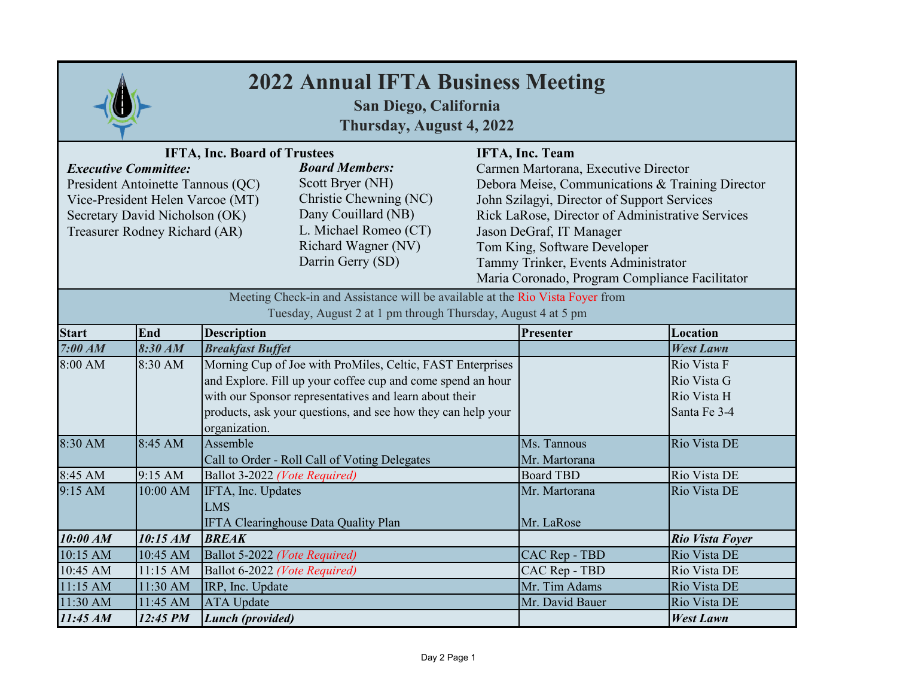| <b>2022 Annual IFTA Business Meeting</b><br>San Diego, California<br>Thursday, August 4, 2022                                                                                                                                                                                                                                                                                     |          |                                                                                                                                                                                                                                                                      |                 |                                                                                                                                                                                                                                                                                                                                                                            |                                                           |  |
|-----------------------------------------------------------------------------------------------------------------------------------------------------------------------------------------------------------------------------------------------------------------------------------------------------------------------------------------------------------------------------------|----------|----------------------------------------------------------------------------------------------------------------------------------------------------------------------------------------------------------------------------------------------------------------------|-----------------|----------------------------------------------------------------------------------------------------------------------------------------------------------------------------------------------------------------------------------------------------------------------------------------------------------------------------------------------------------------------------|-----------------------------------------------------------|--|
| <b>IFTA, Inc. Board of Trustees</b><br><b>Board Members:</b><br><b>Executive Committee:</b><br>Scott Bryer (NH)<br>President Antoinette Tannous (QC)<br>Christie Chewning (NC)<br>Vice-President Helen Varcoe (MT)<br>Dany Couillard (NB)<br>Secretary David Nicholson (OK)<br>L. Michael Romeo (CT)<br>Treasurer Rodney Richard (AR)<br>Richard Wagner (NV)<br>Darrin Gerry (SD) |          |                                                                                                                                                                                                                                                                      |                 | <b>IFTA, Inc. Team</b><br>Carmen Martorana, Executive Director<br>Debora Meise, Communications & Training Director<br>John Szilagyi, Director of Support Services<br>Rick LaRose, Director of Administrative Services<br>Jason DeGraf, IT Manager<br>Tom King, Software Developer<br>Tammy Trinker, Events Administrator<br>Maria Coronado, Program Compliance Facilitator |                                                           |  |
| Meeting Check-in and Assistance will be available at the Rio Vista Foyer from<br>Tuesday, August 2 at 1 pm through Thursday, August 4 at 5 pm                                                                                                                                                                                                                                     |          |                                                                                                                                                                                                                                                                      |                 |                                                                                                                                                                                                                                                                                                                                                                            |                                                           |  |
| <b>Start</b>                                                                                                                                                                                                                                                                                                                                                                      | End      | <b>Description</b>                                                                                                                                                                                                                                                   |                 | Presenter                                                                                                                                                                                                                                                                                                                                                                  | Location                                                  |  |
| 7:00 AM                                                                                                                                                                                                                                                                                                                                                                           | 8:30 AM  | <b>Breakfast Buffet</b>                                                                                                                                                                                                                                              |                 |                                                                                                                                                                                                                                                                                                                                                                            | <b>West Lawn</b>                                          |  |
| 8:00 AM                                                                                                                                                                                                                                                                                                                                                                           | 8:30 AM  | Morning Cup of Joe with ProMiles, Celtic, FAST Enterprises<br>and Explore. Fill up your coffee cup and come spend an hour<br>with our Sponsor representatives and learn about their<br>products, ask your questions, and see how they can help your<br>organization. |                 |                                                                                                                                                                                                                                                                                                                                                                            | Rio Vista F<br>Rio Vista G<br>Rio Vista H<br>Santa Fe 3-4 |  |
| 8:30 AM                                                                                                                                                                                                                                                                                                                                                                           | 8:45 AM  | Assemble<br>Call to Order - Roll Call of Voting Delegates                                                                                                                                                                                                            |                 | Ms. Tannous<br>Mr. Martorana                                                                                                                                                                                                                                                                                                                                               | Rio Vista DE                                              |  |
| 8:45 AM                                                                                                                                                                                                                                                                                                                                                                           | 9:15 AM  | Ballot 3-2022 (Vote Required)                                                                                                                                                                                                                                        |                 | <b>Board TBD</b>                                                                                                                                                                                                                                                                                                                                                           | Rio Vista DE                                              |  |
| 9:15 AM                                                                                                                                                                                                                                                                                                                                                                           | 10:00 AM | IFTA, Inc. Updates<br>LMS<br>IFTA Clearinghouse Data Quality Plan                                                                                                                                                                                                    |                 | Mr. Martorana<br>Mr. LaRose                                                                                                                                                                                                                                                                                                                                                | Rio Vista DE                                              |  |
| 10:00 AM                                                                                                                                                                                                                                                                                                                                                                          | 10:15 AM | <b>BREAK</b>                                                                                                                                                                                                                                                         |                 |                                                                                                                                                                                                                                                                                                                                                                            | Rio Vista Foyer                                           |  |
| 10:15 AM                                                                                                                                                                                                                                                                                                                                                                          | 10:45 AM | Ballot 5-2022 (Vote Required)                                                                                                                                                                                                                                        |                 | CAC Rep - TBD                                                                                                                                                                                                                                                                                                                                                              | Rio Vista DE                                              |  |
| 10:45 AM                                                                                                                                                                                                                                                                                                                                                                          | 11:15 AM | Ballot 6-2022 (Vote Required)                                                                                                                                                                                                                                        |                 | CAC Rep - TBD                                                                                                                                                                                                                                                                                                                                                              | Rio Vista DE                                              |  |
| 11:15 AM                                                                                                                                                                                                                                                                                                                                                                          | 11:30 AM | IRP, Inc. Update                                                                                                                                                                                                                                                     |                 | Mr. Tim Adams                                                                                                                                                                                                                                                                                                                                                              | Rio Vista DE                                              |  |
| 11:30 AM                                                                                                                                                                                                                                                                                                                                                                          | 11:45 AM | <b>ATA</b> Update                                                                                                                                                                                                                                                    | Mr. David Bauer | Rio Vista DE                                                                                                                                                                                                                                                                                                                                                               |                                                           |  |
| 11:45 AM                                                                                                                                                                                                                                                                                                                                                                          | 12:45 PM | <b>Lunch</b> (provided)                                                                                                                                                                                                                                              |                 | <b>West Lawn</b>                                                                                                                                                                                                                                                                                                                                                           |                                                           |  |